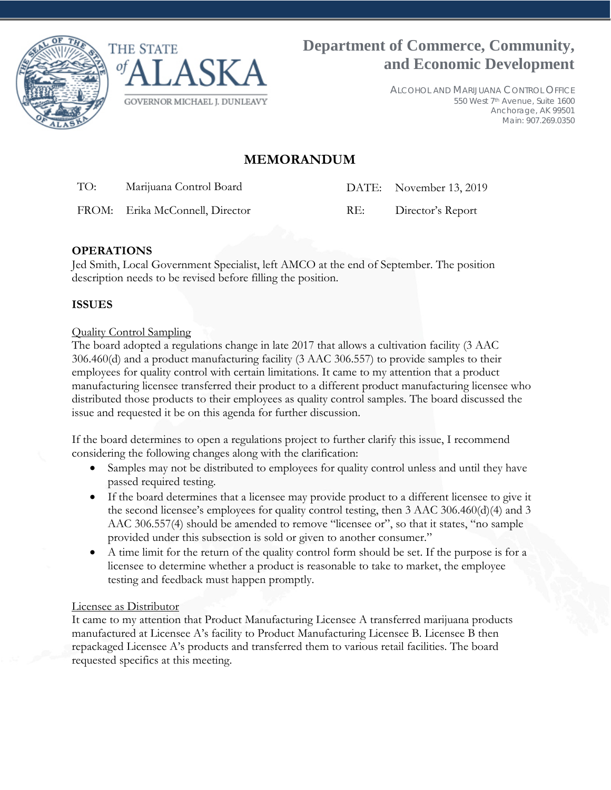



ALCOHOL AND MARIJUANA CONTROL OFFICE 550 West 7th Avenue, Suite 1600 Anchorage, AK 99501 Main: 907.269.0350

# **MEMORANDUM**

TO: Marijuana Control Board DATE: November 13, 2019

FROM: Erika McConnell, Director RE: Director's Report

# **OPERATIONS**

Jed Smith, Local Government Specialist, left AMCO at the end of September. The position description needs to be revised before filling the position.

# **ISSUES**

### Quality Control Sampling

The board adopted a regulations change in late 2017 that allows a cultivation facility (3 AAC 306.460(d) and a product manufacturing facility (3 AAC 306.557) to provide samples to their employees for quality control with certain limitations. It came to my attention that a product manufacturing licensee transferred their product to a different product manufacturing licensee who distributed those products to their employees as quality control samples. The board discussed the issue and requested it be on this agenda for further discussion.

If the board determines to open a regulations project to further clarify this issue, I recommend considering the following changes along with the clarification:

- Samples may not be distributed to employees for quality control unless and until they have passed required testing.
- If the board determines that a licensee may provide product to a different licensee to give it the second licensee's employees for quality control testing, then 3 AAC 306.460(d)(4) and 3 AAC 306.557(4) should be amended to remove "licensee or", so that it states, "no sample provided under this subsection is sold or given to another consumer."
- A time limit for the return of the quality control form should be set. If the purpose is for a licensee to determine whether a product is reasonable to take to market, the employee testing and feedback must happen promptly.

### Licensee as Distributor

It came to my attention that Product Manufacturing Licensee A transferred marijuana products manufactured at Licensee A's facility to Product Manufacturing Licensee B. Licensee B then repackaged Licensee A's products and transferred them to various retail facilities. The board requested specifics at this meeting.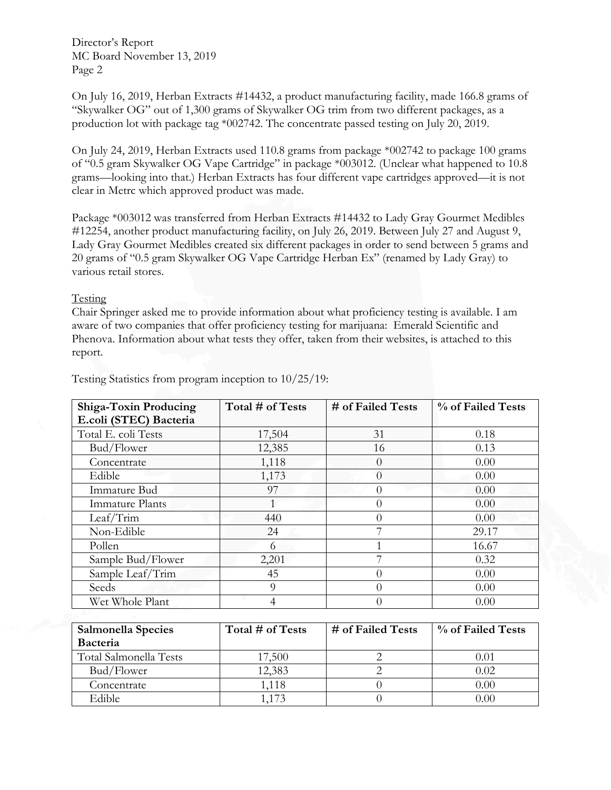Director's Report MC Board November 13, 2019 Page 2

On July 16, 2019, Herban Extracts #14432, a product manufacturing facility, made 166.8 grams of "Skywalker OG" out of 1,300 grams of Skywalker OG trim from two different packages, as a production lot with package tag \*002742. The concentrate passed testing on July 20, 2019.

On July 24, 2019, Herban Extracts used 110.8 grams from package \*002742 to package 100 grams of "0.5 gram Skywalker OG Vape Cartridge" in package \*003012. (Unclear what happened to 10.8 grams—looking into that.) Herban Extracts has four different vape cartridges approved—it is not clear in Metrc which approved product was made.

Package \*003012 was transferred from Herban Extracts #14432 to Lady Gray Gourmet Medibles #12254, another product manufacturing facility, on July 26, 2019. Between July 27 and August 9, Lady Gray Gourmet Medibles created six different packages in order to send between 5 grams and 20 grams of "0.5 gram Skywalker OG Vape Cartridge Herban Ex" (renamed by Lady Gray) to various retail stores.

#### Testing

Chair Springer asked me to provide information about what proficiency testing is available. I am aware of two companies that offer proficiency testing for marijuana: Emerald Scientific and Phenova. Information about what tests they offer, taken from their websites, is attached to this report.

| <b>Shiga-Toxin Producing</b> | Total # of Tests | # of Failed Tests | % of Failed Tests |
|------------------------------|------------------|-------------------|-------------------|
| E.coli (STEC) Bacteria       |                  |                   |                   |
| Total E. coli Tests          | 17,504           | 31                | 0.18              |
| Bud/Flower                   | 12,385           | 16                | 0.13              |
| Concentrate                  | 1,118            | $\left( \right)$  | 0.00              |
| Edible                       | 1,173            | $\left( \right)$  | 0.00              |
| Immature Bud                 | 97               | $\left( \right)$  | 0.00              |
| Immature Plants              |                  | U                 | 0.00              |
| Leaf/Trim                    | 440              | $\left( \right)$  | 0.00              |
| Non-Edible                   | 24               |                   | 29.17             |
| Pollen                       | 6                |                   | 16.67             |
| Sample Bud/Flower            | 2,201            |                   | 0.32              |
| Sample Leaf/Trim             | 45               |                   | 0.00              |
| Seeds                        | 9                | $\left( \right)$  | 0.00              |
| Wet Whole Plant              | 4                | $\Box$            | 0.00              |

Testing Statistics from program inception to 10/25/19:

| Salmonella Species     | Total # of Tests | # of Failed Tests | % of Failed Tests |
|------------------------|------------------|-------------------|-------------------|
| Bacteria               |                  |                   |                   |
| Total Salmonella Tests | 17,500           |                   | $0.01\,$          |
| Bud/Flower             | 12,383           |                   | 0.02              |
| Concentrate            | 1,118            |                   | 0.00              |
| Edible                 | l 173            |                   | 0 OO              |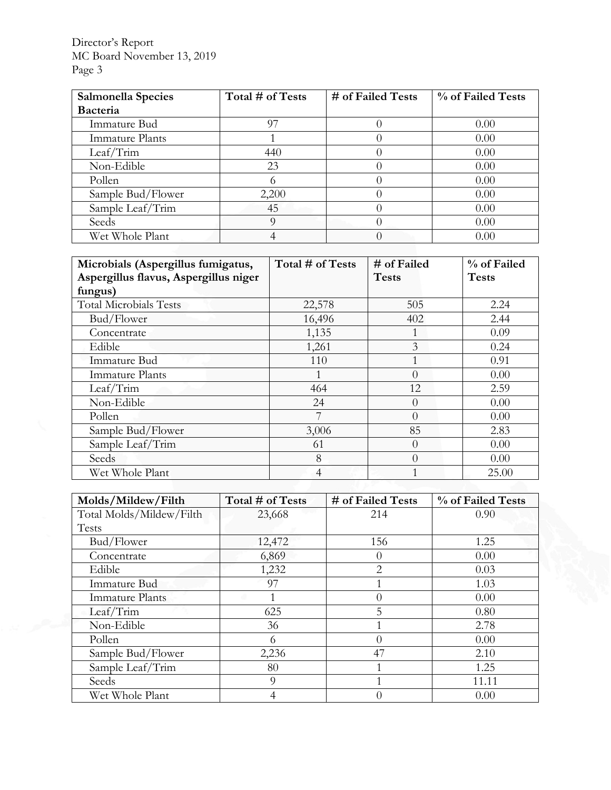Director's Report MC Board November 13, 2019 Page 3

| Salmonella Species     | Total # of Tests | # of Failed Tests | % of Failed Tests |
|------------------------|------------------|-------------------|-------------------|
| <b>Bacteria</b>        |                  |                   |                   |
| Immature Bud           | 97               |                   | 0.00              |
| <b>Immature Plants</b> |                  |                   | 0.00              |
| Leaf/Trim              | 440              |                   | 0.00              |
| Non-Edible             | 23               |                   | 0.00              |
| Pollen                 | O                |                   | 0.00              |
| Sample Bud/Flower      | 2,200            |                   | 0.00              |
| Sample Leaf/Trim       | 45               |                   | 0.00              |
| Seeds                  | 9                |                   | 0.00              |
| Wet Whole Plant        |                  |                   | 0.00              |

| Microbials (Aspergillus fumigatus,<br>Aspergillus flavus, Aspergillus niger | Total # of Tests | # of Failed<br><b>Tests</b> | % of Failed<br><b>Tests</b> |
|-----------------------------------------------------------------------------|------------------|-----------------------------|-----------------------------|
| fungus)                                                                     |                  |                             |                             |
| <b>Total Microbials Tests</b>                                               | 22,578           | 505                         | 2.24                        |
| Bud/Flower                                                                  | 16,496           | 402                         | 2.44                        |
| Concentrate                                                                 | 1,135            |                             | 0.09                        |
| Edible                                                                      | 1,261            | 3                           | 0.24                        |
| Immature Bud                                                                | 110              |                             | 0.91                        |
| Immature Plants                                                             |                  | $\Omega$                    | 0.00                        |
| Leaf/Trim                                                                   | 464              | 12                          | 2.59                        |
| Non-Edible                                                                  | 24               | $\Omega$                    | 0.00                        |
| Pollen                                                                      |                  | $\left( \right)$            | 0.00                        |
| Sample Bud/Flower                                                           | 3,006            | 85                          | 2.83                        |
| Sample Leaf/Trim                                                            | 61               | $\Omega$                    | 0.00                        |
| Seeds                                                                       | 8                | $\Omega$                    | 0.00                        |
| Wet Whole Plant                                                             | 4                |                             | 25.00                       |

|  | Molds/Mildew/Filth       | Total # of Tests | # of Failed Tests | % of Failed Tests |
|--|--------------------------|------------------|-------------------|-------------------|
|  | Total Molds/Mildew/Filth | 23,668           | 214               | 0.90              |
|  | Tests                    |                  |                   |                   |
|  | Bud/Flower               | 12,472           | 156               | 1.25              |
|  | Concentrate              | 6,869            | $\theta$          | 0.00              |
|  | Edible                   | 1,232            | $\overline{2}$    | 0.03              |
|  | <b>Immature Bud</b>      | 97               |                   | 1.03              |
|  | <b>Immature Plants</b>   |                  | $\theta$          | 0.00              |
|  | Leaf/Trim                | 625              | 5                 | 0.80              |
|  | Non-Edible               | 36               |                   | 2.78              |
|  | Pollen                   | 6                | $\Omega$          | 0.00              |
|  | Sample Bud/Flower        | 2,236            | 47                | 2.10              |
|  | Sample Leaf/Trim         | 80               |                   | 1.25              |
|  | Seeds                    | 9                |                   | 11.11             |
|  | Wet Whole Plant          | 4                | $\theta$          | 0.00              |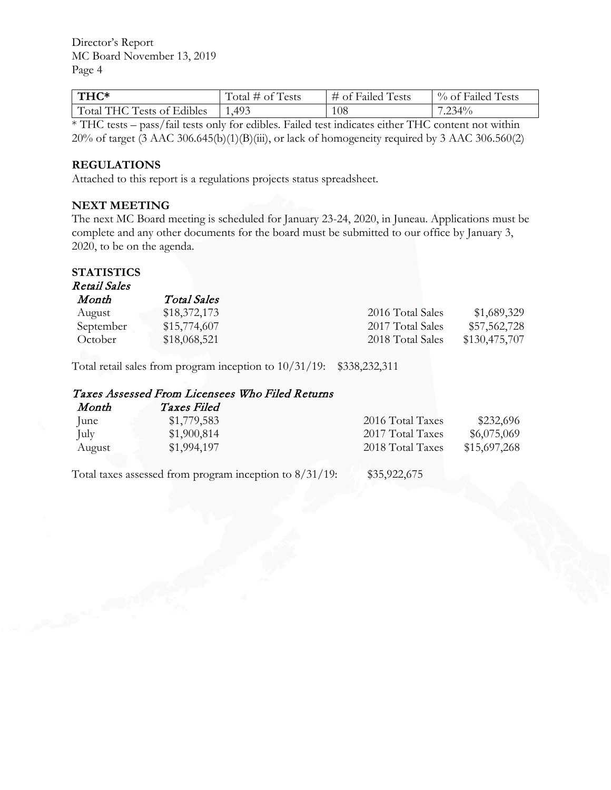Director's Report MC Board November 13, 2019 Page 4

| THC*                       | $\text{Total}$ # of Tests | # of Failed Tests | % of Failed Tests |
|----------------------------|---------------------------|-------------------|-------------------|
| Total THC Tests of Edibles | 1,493                     | 108               | $.234\%$          |

\* THC tests – pass/fail tests only for edibles. Failed test indicates either THC content not within 20% of target (3 AAC 306.645(b)(1)(B)(iii), or lack of homogeneity required by 3 AAC 306.560(2)

#### **REGULATIONS**

Attached to this report is a regulations projects status spreadsheet.

#### **NEXT MEETING**

The next MC Board meeting is scheduled for January 23-24, 2020, in Juneau. Applications must be complete and any other documents for the board must be submitted to our office by January 3, 2020, to be on the agenda.

# **STATISTICS**

Retail Sales Month Total Sales August \$18,372,173 2016 Total Sales \$1,689,329 September \$15,774,607 2017 Total Sales \$57,562,728 October \$18,068,521 2018 Total Sales \$130,475,707

Total retail sales from program inception to 10/31/19: \$338,232,311

# Taxes Assessed From Licensees Who Filed Returns

| Month  | <i>Taxes Filed</i> |                  |              |
|--------|--------------------|------------------|--------------|
| lune   | \$1,779,583        | 2016 Total Taxes | \$232,696    |
| July   | \$1,900,814        | 2017 Total Taxes | \$6,075,069  |
| August | \$1,994,197        | 2018 Total Taxes | \$15,697,268 |
|        |                    |                  |              |

Total taxes assessed from program inception to  $8/31/19$ : \$35,922,675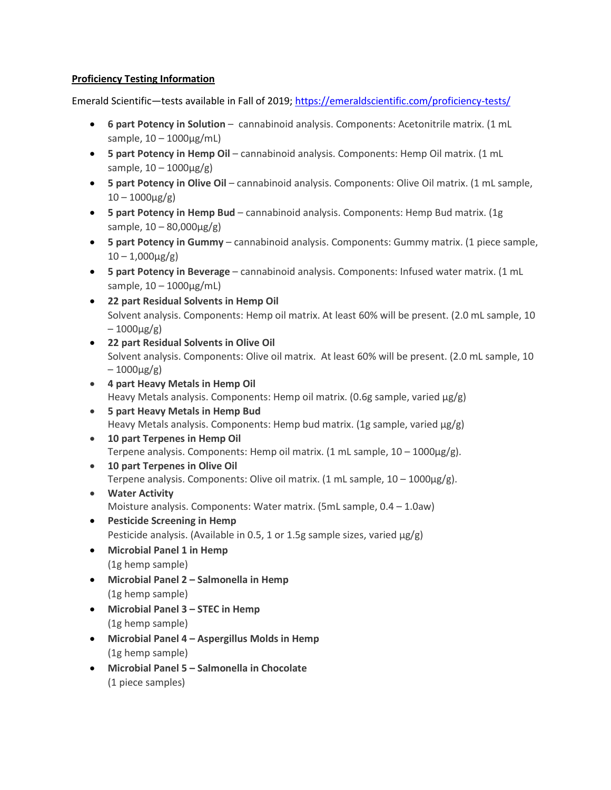#### **Proficiency Testing Information**

Emerald Scientific—tests available in Fall of 2019;<https://emeraldscientific.com/proficiency-tests/>

- **6 part Potency in Solution** cannabinoid analysis. Components: Acetonitrile matrix. (1 mL sample,  $10 - 1000 \mu g/mL$
- **5 part Potency in Hemp Oil** cannabinoid analysis. Components: Hemp Oil matrix. (1 mL sample,  $10 - 1000 \mu g/g$ )
- **5 part Potency in Olive Oil** cannabinoid analysis. Components: Olive Oil matrix. (1 mL sample,  $10 - 1000 \mu g/g$ )
- **5 part Potency in Hemp Bud** cannabinoid analysis. Components: Hemp Bud matrix. (1g sample,  $10 - 80,000 \mu$ g/g)
- **5 part Potency in Gummy** cannabinoid analysis. Components: Gummy matrix. (1 piece sample,  $10 - 1,000 \mu$ g/g)
- **5 part Potency in Beverage** cannabinoid analysis. Components: Infused water matrix. (1 mL sample,  $10 - 1000 \mu g/mL$
- **22 part Residual Solvents in Hemp Oil** Solvent analysis. Components: Hemp oil matrix. At least 60% will be present. (2.0 mL sample, 10  $-1000\mu$ g/g)
- **22 part Residual Solvents in Olive Oil** Solvent analysis. Components: Olive oil matrix. At least 60% will be present. (2.0 mL sample, 10  $-1000\mu$ g/g)
- **4 part Heavy Metals in Hemp Oil** Heavy Metals analysis. Components: Hemp oil matrix. (0.6g sample, varied  $\mu g/g$ )
- **5 part Heavy Metals in Hemp Bud** Heavy Metals analysis. Components: Hemp bud matrix. (1g sample, varied  $\mu$ g/g)
- **10 part Terpenes in Hemp Oil** Terpene analysis. Components: Hemp oil matrix. (1 mL sample,  $10 - 1000 \mu$ g/g).
- **10 part Terpenes in Olive Oil** Terpene analysis. Components: Olive oil matrix. (1 mL sample,  $10 - 1000 \mu$ g/g).
- **Water Activity** Moisture analysis. Components: Water matrix. (5mL sample, 0.4 – 1.0aw)
- **Pesticide Screening in Hemp** Pesticide analysis. (Available in 0.5, 1 or 1.5g sample sizes, varied  $\mu$ g/g)
- **Microbial Panel 1 in Hemp** (1g hemp sample)
- **Microbial Panel 2 – Salmonella in Hemp** (1g hemp sample)
- **Microbial Panel 3 – STEC in Hemp** (1g hemp sample)
- **Microbial Panel 4 – Aspergillus Molds in Hemp** (1g hemp sample)
- **Microbial Panel 5 – Salmonella in Chocolate** (1 piece samples)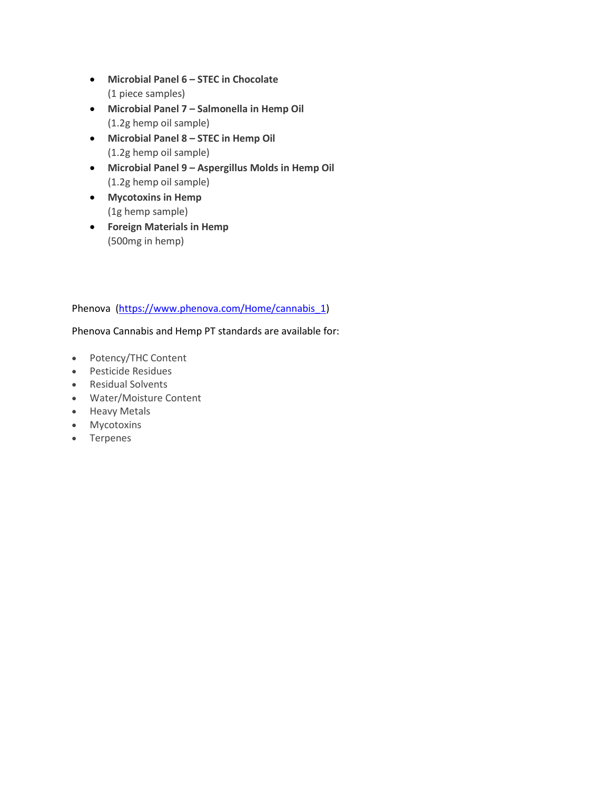- **Microbial Panel 6 – STEC in Chocolate** (1 piece samples)
- **Microbial Panel 7 – Salmonella in Hemp Oil** (1.2g hemp oil sample)
- **Microbial Panel 8 – STEC in Hemp Oil** (1.2g hemp oil sample)
- **Microbial Panel 9 – Aspergillus Molds in Hemp Oil** (1.2g hemp oil sample)
- **Mycotoxins in Hemp** (1g hemp sample)
- **Foreign Materials in Hemp** (500mg in hemp)

# Phenova [\(https://www.phenova.com/Home/cannabis\\_1\)](https://www.phenova.com/Home/cannabis_1)

# Phenova Cannabis and Hemp PT standards are available for:

- Potency/THC Content
- Pesticide Residues
- Residual Solvents
- Water/Moisture Content
- Heavy Metals
- Mycotoxins
- Terpenes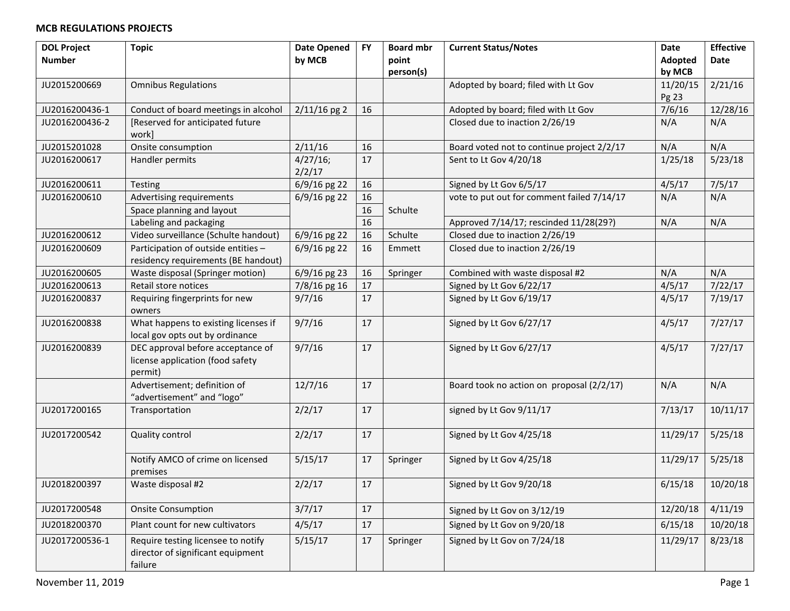| <b>DOL Project</b> | <b>Topic</b>                         | <b>Date Opened</b> | <b>FY</b> | <b>Board mbr</b> | <b>Current Status/Notes</b>                | Date     | <b>Effective</b> |
|--------------------|--------------------------------------|--------------------|-----------|------------------|--------------------------------------------|----------|------------------|
| <b>Number</b>      |                                      | by MCB             |           | point            |                                            | Adopted  | Date             |
|                    |                                      |                    |           | person(s)        |                                            | by MCB   |                  |
| JU2015200669       | <b>Omnibus Regulations</b>           |                    |           |                  | Adopted by board; filed with Lt Gov        | 11/20/15 | 2/21/16          |
|                    |                                      |                    |           |                  |                                            | Pg 23    |                  |
| JU2016200436-1     | Conduct of board meetings in alcohol | $2/11/16$ pg 2     | 16        |                  | Adopted by board; filed with Lt Gov        | 7/6/16   | 12/28/16         |
| JU2016200436-2     | [Reserved for anticipated future     |                    |           |                  | Closed due to inaction 2/26/19             | N/A      | N/A              |
|                    | work]                                |                    |           |                  |                                            |          |                  |
| JU2015201028       | Onsite consumption                   | 2/11/16            | 16        |                  | Board voted not to continue project 2/2/17 | N/A      | N/A              |
| JU2016200617       | Handler permits                      | $4/27/16$ ;        | 17        |                  | Sent to Lt Gov 4/20/18                     | 1/25/18  | 5/23/18          |
|                    |                                      | 2/2/17             |           |                  |                                            |          |                  |
| JU2016200611       | Testing                              | 6/9/16 pg 22       | 16        |                  | Signed by Lt Gov 6/5/17                    | 4/5/17   | 7/5/17           |
| JU2016200610       | Advertising requirements             | 6/9/16 pg 22       | 16        |                  | vote to put out for comment failed 7/14/17 | N/A      | N/A              |
|                    | Space planning and layout            |                    | 16        | Schulte          |                                            |          |                  |
|                    | Labeling and packaging               |                    | 16        |                  | Approved 7/14/17; rescinded 11/28(29?)     | N/A      | N/A              |
| JU2016200612       | Video surveillance (Schulte handout) | 6/9/16 pg 22       | 16        | Schulte          | Closed due to inaction 2/26/19             |          |                  |
| JU2016200609       | Participation of outside entities -  | $6/9/16$ pg 22     | 16        | Emmett           | Closed due to inaction 2/26/19             |          |                  |
|                    | residency requirements (BE handout)  |                    |           |                  |                                            |          |                  |
| JU2016200605       | Waste disposal (Springer motion)     | $6/9/16$ pg 23     | 16        | Springer         | Combined with waste disposal #2            | N/A      | N/A              |
| JU2016200613       | Retail store notices                 | 7/8/16 pg 16       | 17        |                  | Signed by Lt Gov 6/22/17                   | 4/5/17   | 7/22/17          |
| JU2016200837       | Requiring fingerprints for new       | 9/7/16             | 17        |                  | Signed by Lt Gov 6/19/17                   | 4/5/17   | 7/19/17          |
|                    | owners                               |                    |           |                  |                                            |          |                  |
| JU2016200838       | What happens to existing licenses if | 9/7/16             | 17        |                  | Signed by Lt Gov 6/27/17                   | 4/5/17   | 7/27/17          |
|                    | local gov opts out by ordinance      |                    |           |                  |                                            |          |                  |
| JU2016200839       | DEC approval before acceptance of    | 9/7/16             | 17        |                  | Signed by Lt Gov 6/27/17                   | 4/5/17   | 7/27/17          |
|                    | license application (food safety     |                    |           |                  |                                            |          |                  |
|                    | permit)                              |                    |           |                  |                                            |          |                  |
|                    | Advertisement; definition of         | 12/7/16            | 17        |                  | Board took no action on proposal (2/2/17)  | N/A      | N/A              |
|                    | "advertisement" and "logo"           |                    |           |                  |                                            |          |                  |
| JU2017200165       | Transportation                       | 2/2/17             | 17        |                  | signed by Lt Gov 9/11/17                   | 7/13/17  | 10/11/17         |
|                    |                                      |                    |           |                  |                                            |          |                  |
| JU2017200542       | Quality control                      | 2/2/17             | 17        |                  | Signed by Lt Gov 4/25/18                   | 11/29/17 | 5/25/18          |
|                    |                                      |                    |           |                  |                                            |          |                  |
|                    | Notify AMCO of crime on licensed     | 5/15/17            | 17        | Springer         | Signed by Lt Gov 4/25/18                   | 11/29/17 | 5/25/18          |
|                    | premises                             |                    |           |                  |                                            |          |                  |
| JU2018200397       | Waste disposal #2                    | 2/2/17             | 17        |                  | Signed by Lt Gov 9/20/18                   | 6/15/18  | 10/20/18         |
|                    |                                      |                    |           |                  |                                            |          |                  |
| JU2017200548       | <b>Onsite Consumption</b>            | 3/7/17             | 17        |                  | Signed by Lt Gov on 3/12/19                | 12/20/18 | 4/11/19          |
| JU2018200370       | Plant count for new cultivators      | 4/5/17             | 17        |                  | Signed by Lt Gov on 9/20/18                | 6/15/18  | 10/20/18         |
| JU2017200536-1     | Require testing licensee to notify   | 5/15/17            | 17        | Springer         | Signed by Lt Gov on 7/24/18                | 11/29/17 | 8/23/18          |
|                    | director of significant equipment    |                    |           |                  |                                            |          |                  |
|                    | failure                              |                    |           |                  |                                            |          |                  |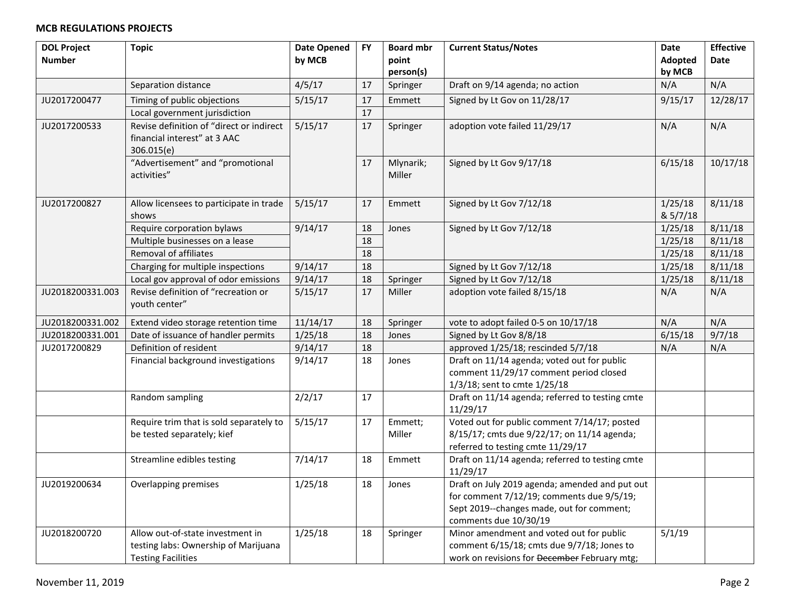| <b>DOL Project</b> | <b>Topic</b>                                                      | <b>Date Opened</b> | <b>FY</b> | <b>Board mbr</b> | <b>Current Status/Notes</b>                                                                | Date     | <b>Effective</b> |
|--------------------|-------------------------------------------------------------------|--------------------|-----------|------------------|--------------------------------------------------------------------------------------------|----------|------------------|
| <b>Number</b>      |                                                                   | by MCB             |           | point            |                                                                                            | Adopted  | <b>Date</b>      |
|                    |                                                                   |                    |           | person(s)        |                                                                                            | by MCB   |                  |
|                    | Separation distance                                               | 4/5/17             | 17        | Springer         | Draft on 9/14 agenda; no action                                                            | N/A      | N/A              |
| JU2017200477       | Timing of public objections                                       | 5/15/17            | 17        | Emmett           | Signed by Lt Gov on 11/28/17                                                               | 9/15/17  | 12/28/17         |
|                    | Local government jurisdiction                                     |                    | $17\,$    |                  |                                                                                            |          |                  |
| JU2017200533       | Revise definition of "direct or indirect                          | 5/15/17            | 17        | Springer         | adoption vote failed 11/29/17                                                              | N/A      | N/A              |
|                    | financial interest" at 3 AAC                                      |                    |           |                  |                                                                                            |          |                  |
|                    | 306.015(e)                                                        |                    |           |                  |                                                                                            |          |                  |
|                    | "Advertisement" and "promotional                                  |                    | 17        | Mlynarik;        | Signed by Lt Gov 9/17/18                                                                   | 6/15/18  | 10/17/18         |
|                    | activities"                                                       |                    |           | Miller           |                                                                                            |          |                  |
|                    |                                                                   |                    |           |                  |                                                                                            |          |                  |
| JU2017200827       | Allow licensees to participate in trade                           | 5/15/17            | 17        | Emmett           | Signed by Lt Gov 7/12/18                                                                   | 1/25/18  | 8/11/18          |
|                    | shows                                                             |                    |           |                  |                                                                                            | & 5/7/18 |                  |
|                    | Require corporation bylaws                                        | 9/14/17            | 18        | Jones            | Signed by Lt Gov 7/12/18                                                                   | 1/25/18  | 8/11/18          |
|                    | Multiple businesses on a lease                                    |                    | 18        |                  |                                                                                            | 1/25/18  | 8/11/18          |
|                    | Removal of affiliates                                             |                    | 18        |                  |                                                                                            | 1/25/18  | 8/11/18          |
|                    | Charging for multiple inspections                                 | 9/14/17            | 18        |                  | Signed by Lt Gov 7/12/18                                                                   | 1/25/18  | 8/11/18          |
|                    | Local gov approval of odor emissions                              | 9/14/17            | 18        | Springer         | Signed by Lt Gov 7/12/18                                                                   | 1/25/18  | 8/11/18          |
| JU2018200331.003   | Revise definition of "recreation or                               | 5/15/17            | 17        | Miller           | adoption vote failed 8/15/18                                                               | N/A      | N/A              |
|                    | youth center"                                                     |                    |           |                  |                                                                                            |          |                  |
| JU2018200331.002   | Extend video storage retention time                               | 11/14/17           | 18        | Springer         | vote to adopt failed 0-5 on 10/17/18                                                       | N/A      | N/A              |
| JU2018200331.001   | Date of issuance of handler permits                               | 1/25/18            | 18        | Jones            | Signed by Lt Gov 8/8/18                                                                    | 6/15/18  | 9/7/18           |
| JU2017200829       | Definition of resident                                            | 9/14/17            | 18        |                  | approved 1/25/18; rescinded 5/7/18                                                         | N/A      | N/A              |
|                    | Financial background investigations                               | 9/14/17            | 18        | Jones            | Draft on 11/14 agenda; voted out for public                                                |          |                  |
|                    |                                                                   |                    |           |                  | comment 11/29/17 comment period closed                                                     |          |                  |
|                    |                                                                   |                    |           |                  | 1/3/18; sent to cmte 1/25/18                                                               |          |                  |
|                    | Random sampling                                                   | 2/2/17             | 17        |                  | Draft on 11/14 agenda; referred to testing cmte                                            |          |                  |
|                    |                                                                   |                    |           |                  | 11/29/17                                                                                   |          |                  |
|                    | Require trim that is sold separately to                           | 5/15/17            | $17\,$    | Emmett;          | Voted out for public comment 7/14/17; posted                                               |          |                  |
|                    | be tested separately; kief                                        |                    |           | Miller           | 8/15/17; cmts due 9/22/17; on 11/14 agenda;                                                |          |                  |
|                    |                                                                   |                    |           |                  | referred to testing cmte 11/29/17                                                          |          |                  |
|                    | Streamline edibles testing                                        | 7/14/17            | 18        | Emmett           | Draft on 11/14 agenda; referred to testing cmte                                            |          |                  |
|                    |                                                                   |                    |           |                  | 11/29/17                                                                                   |          |                  |
| JU2019200634       | Overlapping premises                                              | 1/25/18            | 18        | Jones            | Draft on July 2019 agenda; amended and put out                                             |          |                  |
|                    |                                                                   |                    |           |                  | for comment 7/12/19; comments due 9/5/19;                                                  |          |                  |
|                    |                                                                   |                    |           |                  | Sept 2019--changes made, out for comment;                                                  |          |                  |
| JU2018200720       | Allow out-of-state investment in                                  | 1/25/18            | 18        |                  | comments due 10/30/19<br>Minor amendment and voted out for public                          | 5/1/19   |                  |
|                    |                                                                   |                    |           | Springer         |                                                                                            |          |                  |
|                    |                                                                   |                    |           |                  |                                                                                            |          |                  |
|                    | testing labs: Ownership of Marijuana<br><b>Testing Facilities</b> |                    |           |                  | comment 6/15/18; cmts due 9/7/18; Jones to<br>work on revisions for December February mtg; |          |                  |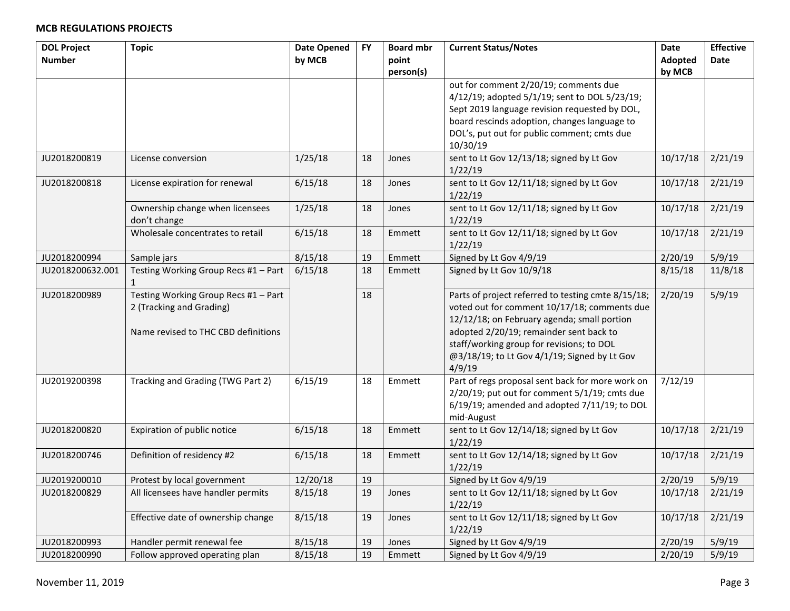| <b>DOL Project</b> | <b>Topic</b>                                         | <b>Date Opened</b> | <b>FY</b> | <b>Board mbr</b> | <b>Current Status/Notes</b>                          | Date     | <b>Effective</b> |
|--------------------|------------------------------------------------------|--------------------|-----------|------------------|------------------------------------------------------|----------|------------------|
| <b>Number</b>      |                                                      | by MCB             |           | point            |                                                      | Adopted  | Date             |
|                    |                                                      |                    |           | person(s)        |                                                      | by MCB   |                  |
|                    |                                                      |                    |           |                  | out for comment 2/20/19; comments due                |          |                  |
|                    |                                                      |                    |           |                  | 4/12/19; adopted 5/1/19; sent to DOL 5/23/19;        |          |                  |
|                    |                                                      |                    |           |                  | Sept 2019 language revision requested by DOL,        |          |                  |
|                    |                                                      |                    |           |                  | board rescinds adoption, changes language to         |          |                  |
|                    |                                                      |                    |           |                  | DOL's, put out for public comment; cmts due          |          |                  |
|                    |                                                      |                    |           |                  | 10/30/19                                             |          |                  |
| JU2018200819       | License conversion                                   | 1/25/18            | 18        | Jones            | sent to Lt Gov 12/13/18; signed by Lt Gov<br>1/22/19 | 10/17/18 | 2/21/19          |
| JU2018200818       | License expiration for renewal                       | 6/15/18            | 18        | Jones            | sent to Lt Gov 12/11/18; signed by Lt Gov<br>1/22/19 | 10/17/18 | 2/21/19          |
|                    | Ownership change when licensees                      | 1/25/18            | 18        | Jones            | sent to Lt Gov 12/11/18; signed by Lt Gov            | 10/17/18 | 2/21/19          |
|                    | don't change                                         |                    |           |                  | 1/22/19                                              |          |                  |
|                    | Wholesale concentrates to retail                     | 6/15/18            | 18        | Emmett           | sent to Lt Gov 12/11/18; signed by Lt Gov            | 10/17/18 | 2/21/19          |
|                    |                                                      |                    |           |                  | 1/22/19                                              |          |                  |
| JU2018200994       | Sample jars                                          | 8/15/18            | 19        | Emmett           | Signed by Lt Gov 4/9/19                              | 2/20/19  | 5/9/19           |
| JU2018200632.001   | Testing Working Group Recs #1 - Part<br>$\mathbf{1}$ | 6/15/18            | 18        | Emmett           | Signed by Lt Gov 10/9/18                             | 8/15/18  | 11/8/18          |
| JU2018200989       | Testing Working Group Recs #1 - Part                 |                    | 18        |                  | Parts of project referred to testing cmte 8/15/18;   | 2/20/19  | 5/9/19           |
|                    | 2 (Tracking and Grading)                             |                    |           |                  | voted out for comment 10/17/18; comments due         |          |                  |
|                    |                                                      |                    |           |                  | 12/12/18; on February agenda; small portion          |          |                  |
|                    | Name revised to THC CBD definitions                  |                    |           |                  | adopted 2/20/19; remainder sent back to              |          |                  |
|                    |                                                      |                    |           |                  | staff/working group for revisions; to DOL            |          |                  |
|                    |                                                      |                    |           |                  | @3/18/19; to Lt Gov 4/1/19; Signed by Lt Gov         |          |                  |
|                    |                                                      |                    |           |                  | 4/9/19                                               |          |                  |
| JU2019200398       | Tracking and Grading (TWG Part 2)                    | 6/15/19            | 18        | Emmett           | Part of regs proposal sent back for more work on     | 7/12/19  |                  |
|                    |                                                      |                    |           |                  | 2/20/19; put out for comment 5/1/19; cmts due        |          |                  |
|                    |                                                      |                    |           |                  | 6/19/19; amended and adopted 7/11/19; to DOL         |          |                  |
|                    |                                                      |                    |           |                  | mid-August                                           |          |                  |
| JU2018200820       | Expiration of public notice                          | 6/15/18            | 18        | Emmett           | sent to Lt Gov 12/14/18; signed by Lt Gov<br>1/22/19 | 10/17/18 | 2/21/19          |
| JU2018200746       | Definition of residency #2                           | 6/15/18            | 18        | Emmett           | sent to Lt Gov 12/14/18; signed by Lt Gov            | 10/17/18 | 2/21/19          |
|                    |                                                      |                    |           |                  | 1/22/19                                              |          |                  |
| JU2019200010       | Protest by local government                          | 12/20/18           | 19        |                  | Signed by Lt Gov 4/9/19                              | 2/20/19  | 5/9/19           |
| JU2018200829       | All licensees have handler permits                   | 8/15/18            | 19        | Jones            | sent to Lt Gov 12/11/18; signed by Lt Gov            | 10/17/18 | 2/21/19          |
|                    |                                                      |                    |           |                  | 1/22/19                                              |          |                  |
|                    | Effective date of ownership change                   | 8/15/18            | 19        | Jones            | sent to Lt Gov 12/11/18; signed by Lt Gov            | 10/17/18 | 2/21/19          |
|                    |                                                      |                    |           |                  | 1/22/19                                              |          |                  |
| JU2018200993       | Handler permit renewal fee                           | 8/15/18            | 19        | Jones            | Signed by Lt Gov 4/9/19                              | 2/20/19  | 5/9/19           |
| JU2018200990       | Follow approved operating plan                       | 8/15/18            | 19        | Emmett           | Signed by Lt Gov 4/9/19                              | 2/20/19  | 5/9/19           |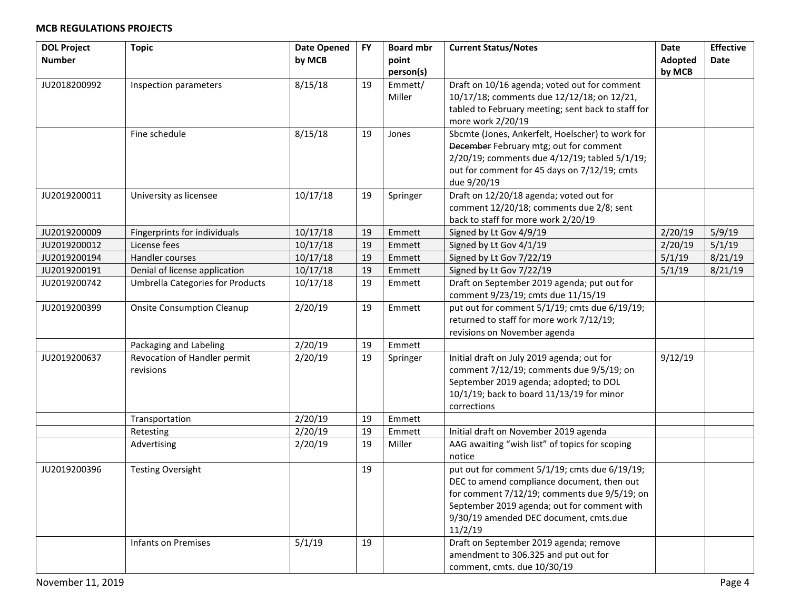| <b>DOL Project</b> | <b>Topic</b>                            | <b>Date Opened</b> | <b>FY</b> | <b>Board mbr</b> | <b>Current Status/Notes</b>                        | <b>Date</b> | <b>Effective</b> |
|--------------------|-----------------------------------------|--------------------|-----------|------------------|----------------------------------------------------|-------------|------------------|
| <b>Number</b>      |                                         | by MCB             |           | point            |                                                    | Adopted     | Date             |
|                    |                                         |                    |           | person(s)        |                                                    | by MCB      |                  |
| JU2018200992       | Inspection parameters                   | 8/15/18            | 19        | Emmett/          | Draft on 10/16 agenda; voted out for comment       |             |                  |
|                    |                                         |                    |           | Miller           | 10/17/18; comments due 12/12/18; on 12/21,         |             |                  |
|                    |                                         |                    |           |                  | tabled to February meeting; sent back to staff for |             |                  |
|                    |                                         |                    |           |                  | more work 2/20/19                                  |             |                  |
|                    | Fine schedule                           | 8/15/18            | 19        | Jones            | Sbcmte (Jones, Ankerfelt, Hoelscher) to work for   |             |                  |
|                    |                                         |                    |           |                  | December February mtg; out for comment             |             |                  |
|                    |                                         |                    |           |                  | 2/20/19; comments due 4/12/19; tabled 5/1/19;      |             |                  |
|                    |                                         |                    |           |                  | out for comment for 45 days on 7/12/19; cmts       |             |                  |
|                    |                                         |                    |           |                  | due 9/20/19                                        |             |                  |
| JU2019200011       | University as licensee                  | 10/17/18           | 19        | Springer         | Draft on 12/20/18 agenda; voted out for            |             |                  |
|                    |                                         |                    |           |                  | comment 12/20/18; comments due 2/8; sent           |             |                  |
|                    |                                         |                    |           |                  | back to staff for more work 2/20/19                |             |                  |
| JU2019200009       | Fingerprints for individuals            | 10/17/18           | 19        | Emmett           | Signed by Lt Gov 4/9/19                            | 2/20/19     | 5/9/19           |
| JU2019200012       | License fees                            | 10/17/18           | 19        | Emmett           | Signed by Lt Gov 4/1/19                            | 2/20/19     | 5/1/19           |
| JU2019200194       | Handler courses                         | 10/17/18           | 19        | Emmett           | Signed by Lt Gov 7/22/19                           | 5/1/19      | 8/21/19          |
| JU2019200191       | Denial of license application           | 10/17/18           | 19        | Emmett           | Signed by Lt Gov 7/22/19                           | 5/1/19      | 8/21/19          |
| JU2019200742       | <b>Umbrella Categories for Products</b> | 10/17/18           | 19        | Emmett           | Draft on September 2019 agenda; put out for        |             |                  |
|                    |                                         |                    |           |                  | comment 9/23/19; cmts due 11/15/19                 |             |                  |
| JU2019200399       | <b>Onsite Consumption Cleanup</b>       | 2/20/19            | 19        | Emmett           | put out for comment 5/1/19; cmts due 6/19/19;      |             |                  |
|                    |                                         |                    |           |                  | returned to staff for more work 7/12/19;           |             |                  |
|                    |                                         |                    |           |                  | revisions on November agenda                       |             |                  |
|                    | Packaging and Labeling                  | 2/20/19            | 19        | Emmett           |                                                    |             |                  |
| JU2019200637       | Revocation of Handler permit            | 2/20/19            | 19        | Springer         | Initial draft on July 2019 agenda; out for         | 9/12/19     |                  |
|                    | revisions                               |                    |           |                  | comment 7/12/19; comments due 9/5/19; on           |             |                  |
|                    |                                         |                    |           |                  | September 2019 agenda; adopted; to DOL             |             |                  |
|                    |                                         |                    |           |                  | 10/1/19; back to board 11/13/19 for minor          |             |                  |
|                    |                                         |                    |           |                  | corrections                                        |             |                  |
|                    | Transportation                          | 2/20/19            | 19        | Emmett           |                                                    |             |                  |
|                    | Retesting                               | 2/20/19            | 19        | Emmett           | Initial draft on November 2019 agenda              |             |                  |
|                    | Advertising                             | 2/20/19            | 19        | Miller           | AAG awaiting "wish list" of topics for scoping     |             |                  |
|                    |                                         |                    |           |                  | notice                                             |             |                  |
| JU2019200396       | <b>Testing Oversight</b>                |                    | 19        |                  | put out for comment 5/1/19; cmts due 6/19/19;      |             |                  |
|                    |                                         |                    |           |                  | DEC to amend compliance document, then out         |             |                  |
|                    |                                         |                    |           |                  | for comment 7/12/19; comments due 9/5/19; on       |             |                  |
|                    |                                         |                    |           |                  | September 2019 agenda; out for comment with        |             |                  |
|                    |                                         |                    |           |                  | 9/30/19 amended DEC document, cmts.due             |             |                  |
|                    |                                         |                    |           |                  | 11/2/19                                            |             |                  |
|                    | <b>Infants on Premises</b>              | 5/1/19             | 19        |                  | Draft on September 2019 agenda; remove             |             |                  |
|                    |                                         |                    |           |                  | amendment to 306.325 and put out for               |             |                  |
|                    |                                         |                    |           |                  | comment, cmts. due 10/30/19                        |             |                  |